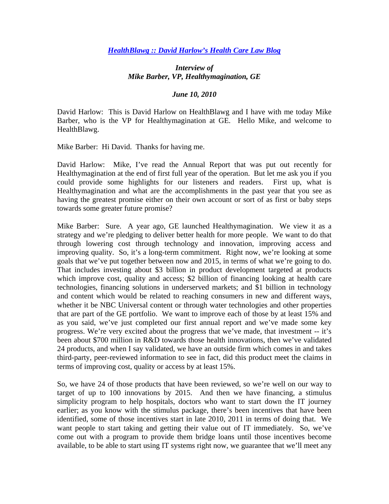## *HealthBlawg :: David Harlow's Health Care Law Blog*

## *Interview of Mike Barber, VP, Healthymagination, GE*

## *June 10, 2010*

David Harlow: This is David Harlow on HealthBlawg and I have with me today Mike Barber, who is the VP for Healthymagination at GE. Hello Mike, and welcome to HealthBlawg.

Mike Barber: Hi David. Thanks for having me.

David Harlow: Mike, I've read the Annual Report that was put out recently for Healthymagination at the end of first full year of the operation. But let me ask you if you could provide some highlights for our listeners and readers. First up, what is Healthymagination and what are the accomplishments in the past year that you see as having the greatest promise either on their own account or sort of as first or baby steps towards some greater future promise?

Mike Barber: Sure. A year ago, GE launched Healthymagination. We view it as a strategy and we're pledging to deliver better health for more people. We want to do that through lowering cost through technology and innovation, improving access and improving quality. So, it's a long-term commitment. Right now, we're looking at some goals that we've put together between now and 2015, in terms of what we're going to do. That includes investing about \$3 billion in product development targeted at products which improve cost, quality and access; \$2 billion of financing looking at health care technologies, financing solutions in underserved markets; and \$1 billion in technology and content which would be related to reaching consumers in new and different ways, whether it be NBC Universal content or through water technologies and other properties that are part of the GE portfolio. We want to improve each of those by at least 15% and as you said, we've just completed our first annual report and we've made some key progress. We're very excited about the progress that we've made, that investment -- it's been about \$700 million in R&D towards those health innovations, then we've validated 24 products, and when I say validated, we have an outside firm which comes in and takes third-party, peer-reviewed information to see in fact, did this product meet the claims in terms of improving cost, quality or access by at least 15%.

So, we have 24 of those products that have been reviewed, so we're well on our way to target of up to 100 innovations by 2015. And then we have financing, a stimulus simplicity program to help hospitals, doctors who want to start down the IT journey earlier; as you know with the stimulus package, there's been incentives that have been identified, some of those incentives start in late 2010, 2011 in terms of doing that. We want people to start taking and getting their value out of IT immediately. So, we've come out with a program to provide them bridge loans until those incentives become available, to be able to start using IT systems right now, we guarantee that we'll meet any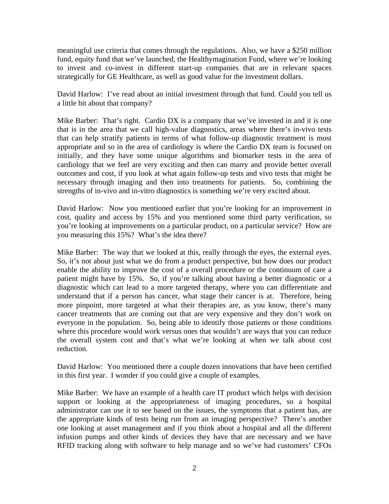meaningful use criteria that comes through the regulations. Also, we have a \$250 million fund, equity fund that we've launched, the Healthymagination Fund, where we're looking to invest and co-invest in different start-up companies that are in relevant spaces strategically for GE Healthcare, as well as good value for the investment dollars.

David Harlow: I've read about an initial investment through that fund. Could you tell us a little bit about that company?

Mike Barber: That's right. Cardio DX is a company that we've invested in and it is one that is in the area that we call high-value diagnostics, areas where there's in-vivo tests that can help stratify patients in terms of what follow-up diagnostic treatment is most appropriate and so in the area of cardiology is where the Cardio DX team is focused on initially, and they have some unique algorithms and biomarker tests in the area of cardiology that we feel are very exciting and then can marry and provide better overall outcomes and cost, if you look at what again follow-up tests and vivo tests that might be necessary through imaging and then into treatments for patients. So, combining the strengths of in-vivo and in-vitro diagnostics is something we're very excited about.

David Harlow: Now you mentioned earlier that you're looking for an improvement in cost, quality and access by 15% and you mentioned some third party verification, so you're looking at improvements on a particular product, on a particular service? How are you measuring this 15%? What's the idea there?

Mike Barber: The way that we looked at this, really through the eyes, the external eyes. So, it's not about just what we do from a product perspective, but how does our product enable the ability to improve the cost of a overall procedure or the continuum of care a patient might have by 15%. So, if you're talking about having a better diagnostic or a diagnostic which can lead to a more targeted therapy, where you can differentiate and understand that if a person has cancer, what stage their cancer is at. Therefore, being more pinpoint, more targeted at what their therapies are, as you know, there's many cancer treatments that are coming out that are very expensive and they don't work on everyone in the population. So, being able to identify those patients or those conditions where this procedure would work versus ones that wouldn't are ways that you can reduce the overall system cost and that's what we're looking at when we talk about cost reduction.

David Harlow: You mentioned there a couple dozen innovations that have been certified in this first year. I wonder if you could give a couple of examples.

Mike Barber: We have an example of a health care IT product which helps with decision support or looking at the appropriateness of imaging procedures, so a hospital administrator can use it to see based on the issues, the symptoms that a patient has, are the appropriate kinds of tests being run from an imaging perspective? There's another one looking at asset management and if you think about a hospital and all the different infusion pumps and other kinds of devices they have that are necessary and we have RFID tracking along with software to help manage and so we've had customers' CFOs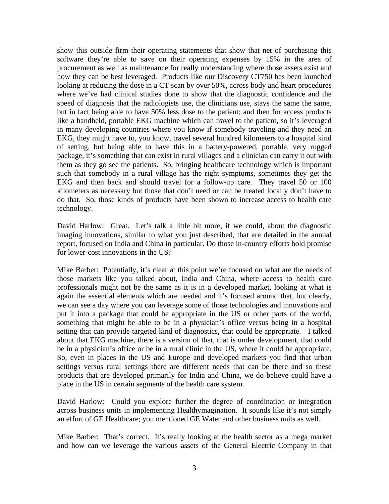show this outside firm their operating statements that show that net of purchasing this software they're able to save on their operating expenses by 15% in the area of procurement as well as maintenance for really understanding where those assets exist and how they can be best leveraged. Products like our Discovery CT750 has been launched looking at reducing the dose in a CT scan by over 50%, across body and heart procedures where we've had clinical studies done to show that the diagnostic confidence and the speed of diagnosis that the radiologists use, the clinicians use, stays the same the same, but in fact being able to have 50% less dose to the patient; and then for access products like a handheld, portable EKG machine which can travel to the patient, so it's leveraged in many developing countries where you know if somebody traveling and they need an EKG, they might have to, you know, travel several hundred kilometers to a hospital kind of setting, but being able to have this in a battery-powered, portable, very rugged package, it's something that can exist in rural villages and a clinician can carry it out with them as they go see the patients. So, bringing healthcare technology which is important such that somebody in a rural village has the right symptoms, sometimes they get the EKG and then back and should travel for a follow-up care. They travel 50 or 100 kilometers as necessary but those that don't need or can be treated locally don't have to do that. So, those kinds of products have been shown to increase access to health care technology.

David Harlow: Great. Let's talk a little bit more, if we could, about the diagnostic imaging innovations, similar to what you just described, that are detailed in the annual report, focused on India and China in particular. Do those in-country efforts hold promise for lower-cost innovations in the US?

Mike Barber: Potentially, it's clear at this point we're focused on what are the needs of those markets like you talked about, India and China, where access to health care professionals might not be the same as it is in a developed market, looking at what is again the essential elements which are needed and it's focused around that, but clearly, we can see a day where you can leverage some of those technologies and innovations and put it into a package that could be appropriate in the US or other parts of the world, something that might be able to be in a physician's office versus being in a hospital setting that can provide targeted kind of diagnostics, that could be appropriate. I talked about that EKG machine, there is a version of that, that is under development, that could be in a physician's office or be in a rural clinic in the US, where it could be appropriate. So, even in places in the US and Europe and developed markets you find that urban settings versus rural settings there are different needs that can be there and so these products that are developed primarily for India and China, we do believe could have a place in the US in certain segments of the health care system.

David Harlow: Could you explore further the degree of coordination or integration across business units in implementing Healthymagination. It sounds like it's not simply an effort of GE Healthcare; you mentioned GE Water and other business units as well.

Mike Barber: That's correct. It's really looking at the health sector as a mega market and how can we leverage the various assets of the General Electric Company in that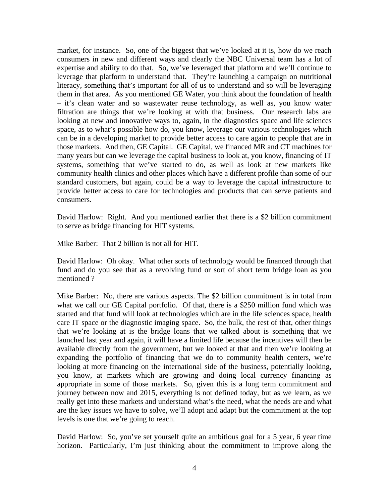market, for instance. So, one of the biggest that we've looked at it is, how do we reach consumers in new and different ways and clearly the NBC Universal team has a lot of expertise and ability to do that. So, we've leveraged that platform and we'll continue to leverage that platform to understand that. They're launching a campaign on nutritional literacy, something that's important for all of us to understand and so will be leveraging them in that area. As you mentioned GE Water, you think about the foundation of health – it's clean water and so wastewater reuse technology, as well as, you know water filtration are things that we're looking at with that business. Our research labs are looking at new and innovative ways to, again, in the diagnostics space and life sciences space, as to what's possible how do, you know, leverage our various technologies which can be in a developing market to provide better access to care again to people that are in those markets. And then, GE Capital. GE Capital, we financed MR and CT machines for many years but can we leverage the capital business to look at, you know, financing of IT systems, something that we've started to do, as well as look at new markets like community health clinics and other places which have a different profile than some of our standard customers, but again, could be a way to leverage the capital infrastructure to provide better access to care for technologies and products that can serve patients and consumers.

David Harlow: Right. And you mentioned earlier that there is a \$2 billion commitment to serve as bridge financing for HIT systems.

Mike Barber: That 2 billion is not all for HIT.

David Harlow: Oh okay. What other sorts of technology would be financed through that fund and do you see that as a revolving fund or sort of short term bridge loan as you mentioned ?

Mike Barber: No, there are various aspects. The \$2 billion commitment is in total from what we call our GE Capital portfolio. Of that, there is a \$250 million fund which was started and that fund will look at technologies which are in the life sciences space, health care IT space or the diagnostic imaging space. So, the bulk, the rest of that, other things that we're looking at is the bridge loans that we talked about is something that we launched last year and again, it will have a limited life because the incentives will then be available directly from the government, but we looked at that and then we're looking at expanding the portfolio of financing that we do to community health centers, we're looking at more financing on the international side of the business, potentially looking, you know, at markets which are growing and doing local currency financing as appropriate in some of those markets. So, given this is a long term commitment and journey between now and 2015, everything is not defined today, but as we learn, as we really get into these markets and understand what's the need, what the needs are and what are the key issues we have to solve, we'll adopt and adapt but the commitment at the top levels is one that we're going to reach.

David Harlow: So, you've set yourself quite an ambitious goal for a 5 year, 6 year time horizon. Particularly, I'm just thinking about the commitment to improve along the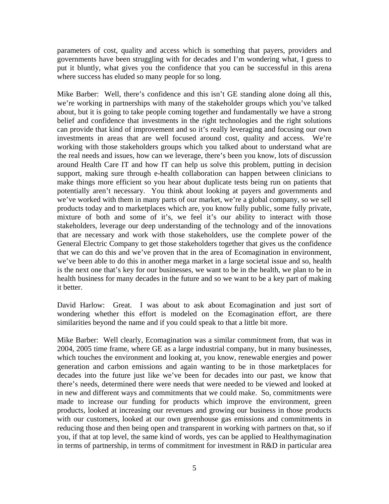parameters of cost, quality and access which is something that payers, providers and governments have been struggling with for decades and I'm wondering what, I guess to put it bluntly, what gives you the confidence that you can be successful in this arena where success has eluded so many people for so long.

Mike Barber: Well, there's confidence and this isn't GE standing alone doing all this, we're working in partnerships with many of the stakeholder groups which you've talked about, but it is going to take people coming together and fundamentally we have a strong belief and confidence that investments in the right technologies and the right solutions can provide that kind of improvement and so it's really leveraging and focusing our own investments in areas that are well focused around cost, quality and access. We're working with those stakeholders groups which you talked about to understand what are the real needs and issues, how can we leverage, there's been you know, lots of discussion around Health Care IT and how IT can help us solve this problem, putting in decision support, making sure through e-health collaboration can happen between clinicians to make things more efficient so you hear about duplicate tests being run on patients that potentially aren't necessary. You think about looking at payers and governments and we've worked with them in many parts of our market, we're a global company, so we sell products today and to marketplaces which are, you know fully public, some fully private, mixture of both and some of it's, we feel it's our ability to interact with those stakeholders, leverage our deep understanding of the technology and of the innovations that are necessary and work with those stakeholders, use the complete power of the General Electric Company to get those stakeholders together that gives us the confidence that we can do this and we've proven that in the area of Ecomagination in environment, we've been able to do this in another mega market in a large societal issue and so, health is the next one that's key for our businesses, we want to be in the health, we plan to be in health business for many decades in the future and so we want to be a key part of making it better.

David Harlow: Great. I was about to ask about Ecomagination and just sort of wondering whether this effort is modeled on the Ecomagination effort, are there similarities beyond the name and if you could speak to that a little bit more.

Mike Barber: Well clearly, Ecomagination was a similar commitment from, that was in 2004, 2005 time frame, where GE as a large industrial company, but in many businesses, which touches the environment and looking at, you know, renewable energies and power generation and carbon emissions and again wanting to be in those marketplaces for decades into the future just like we've been for decades into our past, we know that there's needs, determined there were needs that were needed to be viewed and looked at in new and different ways and commitments that we could make. So, commitments were made to increase our funding for products which improve the environment, green products, looked at increasing our revenues and growing our business in those products with our customers, looked at our own greenhouse gas emissions and commitments in reducing those and then being open and transparent in working with partners on that, so if you, if that at top level, the same kind of words, yes can be applied to Healthymagination in terms of partnership, in terms of commitment for investment in R&D in particular area